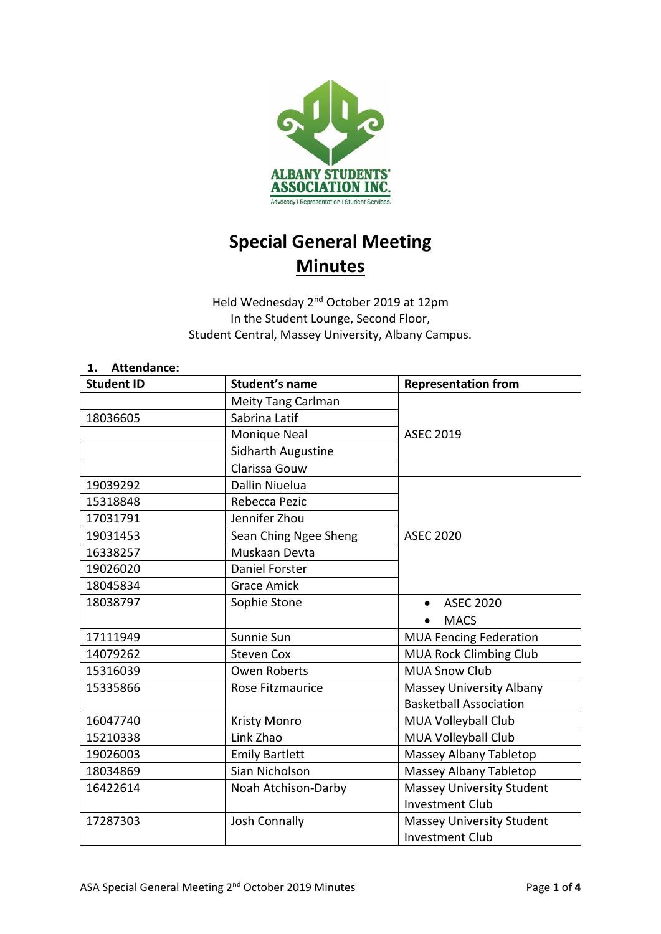

# **Special General Meeting Minutes**

Held Wednesday 2<sup>nd</sup> October 2019 at 12pm In the Student Lounge, Second Floor, Student Central, Massey University, Albany Campus.

## **1. Attendance: Student ID Student's name Representation from** Meity Tang Carlman ASEC 2019 18036605 | Sabrina Latif Monique Neal Sidharth Augustine Clarissa Gouw 19039292 Dallin Niuelua ASEC 2020 15318848 Rebecca Pezic 17031791 Jennifer Zhou 19031453 Sean Ching Ngee Sheng 16338257 Muskaan Devta 19026020 Daniel Forster 18045834 Grace Amick 18038797 Sophie Stone **• ASEC 2020** • MACS 17111949 Sunnie Sun Sun MUA Fencing Federation 14079262 Steven Cox MUA Rock Climbing Club 15316039 | Owen Roberts | MUA Snow Club 15335866 Rose Fitzmaurice Massey University Albany Basketball Association 16047740 | Kristy Monro | MUA Volleyball Club 15210338 | Link Zhao | MUA Volleyball Club 19026003 | Emily Bartlett | Massey Albany Tabletop 18034869 Sian Nicholson Massey Albany Tabletop 16422614 Noah Atchison-Darby Massey University Student Investment Club 17287303 **Josh Connally Massey University Student** Investment Club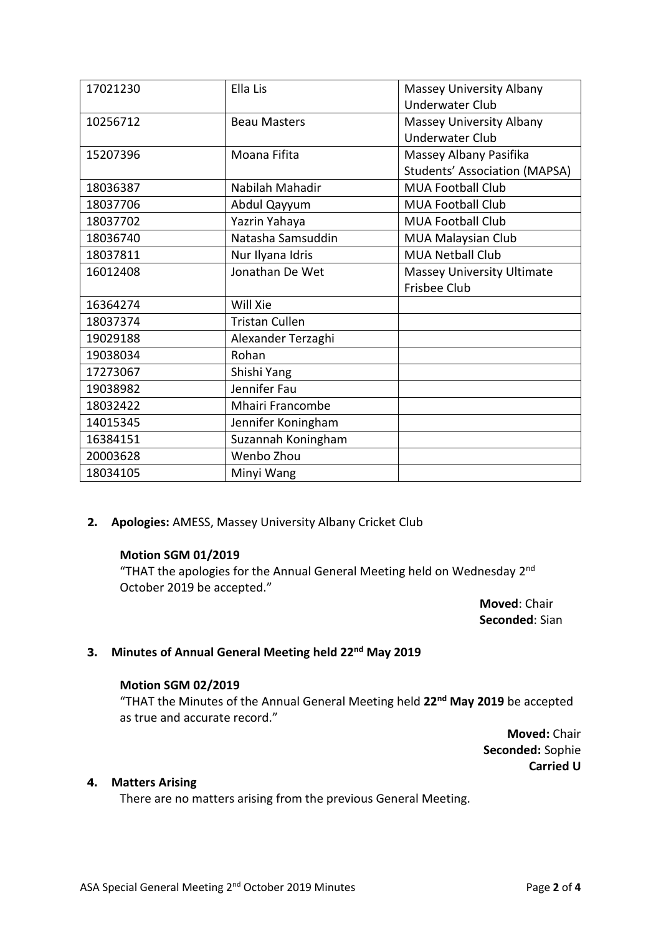| 17021230 | Ella Lis              | Massey University Albany             |
|----------|-----------------------|--------------------------------------|
|          |                       | <b>Underwater Club</b>               |
| 10256712 | <b>Beau Masters</b>   | Massey University Albany             |
|          |                       | <b>Underwater Club</b>               |
| 15207396 | Moana Fifita          | Massey Albany Pasifika               |
|          |                       | <b>Students' Association (MAPSA)</b> |
| 18036387 | Nabilah Mahadir       | <b>MUA Football Club</b>             |
| 18037706 | Abdul Qayyum          | <b>MUA Football Club</b>             |
| 18037702 | Yazrin Yahaya         | <b>MUA Football Club</b>             |
| 18036740 | Natasha Samsuddin     | MUA Malaysian Club                   |
| 18037811 | Nur Ilyana Idris      | <b>MUA Netball Club</b>              |
| 16012408 | Jonathan De Wet       | <b>Massey University Ultimate</b>    |
|          |                       | <b>Frisbee Club</b>                  |
| 16364274 | Will Xie              |                                      |
| 18037374 | <b>Tristan Cullen</b> |                                      |
| 19029188 | Alexander Terzaghi    |                                      |
| 19038034 | Rohan                 |                                      |
| 17273067 | Shishi Yang           |                                      |
| 19038982 | Jennifer Fau          |                                      |
| 18032422 | Mhairi Francombe      |                                      |
| 14015345 | Jennifer Koningham    |                                      |
| 16384151 | Suzannah Koningham    |                                      |
| 20003628 | Wenbo Zhou            |                                      |
| 18034105 | Minyi Wang            |                                      |

**2. Apologies:** AMESS, Massey University Albany Cricket Club

#### **Motion SGM 01/2019**

"THAT the apologies for the Annual General Meeting held on Wednesday 2<sup>nd</sup> October 2019 be accepted."

> **Moved**: Chair **Seconded**: Sian

# **3. Minutes of Annual General Meeting held 22 nd May 2019**

#### **Motion SGM 02/2019**

"THAT the Minutes of the Annual General Meeting held **22 nd May 2019** be accepted as true and accurate record."

> **Moved:** Chair **Seconded:** Sophie **Carried U**

# **4. Matters Arising**

There are no matters arising from the previous General Meeting.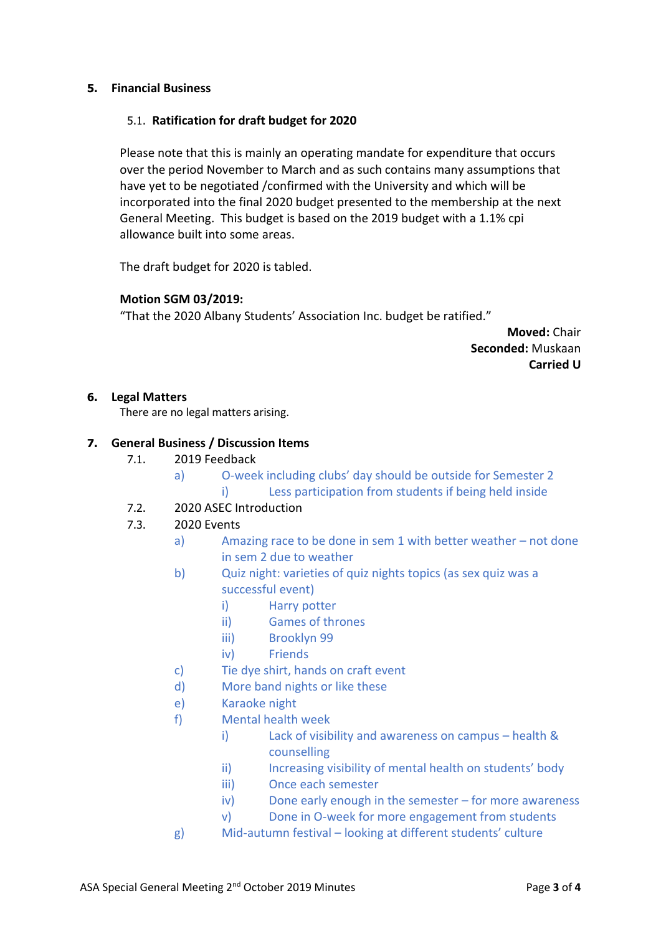#### **5. Financial Business**

### 5.1. **Ratification for draft budget for 2020**

Please note that this is mainly an operating mandate for expenditure that occurs over the period November to March and as such contains many assumptions that have yet to be negotiated /confirmed with the University and which will be incorporated into the final 2020 budget presented to the membership at the next General Meeting. This budget is based on the 2019 budget with a 1.1% cpi allowance built into some areas.

The draft budget for 2020 is tabled.

## **Motion SGM 03/2019:**

"That the 2020 Albany Students' Association Inc. budget be ratified."

**Moved:** Chair **Seconded:** Muskaan **Carried U**

#### **6. Legal Matters**

There are no legal matters arising.

## **7. General Business / Discussion Items**

- 7.1. 2019 Feedback
	- a) O-week including clubs' day should be outside for Semester 2 i) Less participation from students if being held inside
- 7.2. 2020 ASEC Introduction
- 7.3. 2020 Events
	- a) Amazing race to be done in sem 1 with better weather not done in sem 2 due to weather
	- b) Quiz night: varieties of quiz nights topics (as sex quiz was a successful event)
		- i) Harry potter
		- ii) Games of thrones
		- iii) Brooklyn 99
		- iv) Friends
	- c) Tie dye shirt, hands on craft event
	- d) More band nights or like these
	- e) Karaoke night
	- f) Mental health week
		- i) Lack of visibility and awareness on campus health & counselling
		- ii) Increasing visibility of mental health on students' body
		- iii) Once each semester
		- iv) Done early enough in the semester for more awareness
		- v) Done in O-week for more engagement from students
	- g) Mid-autumn festival looking at different students' culture